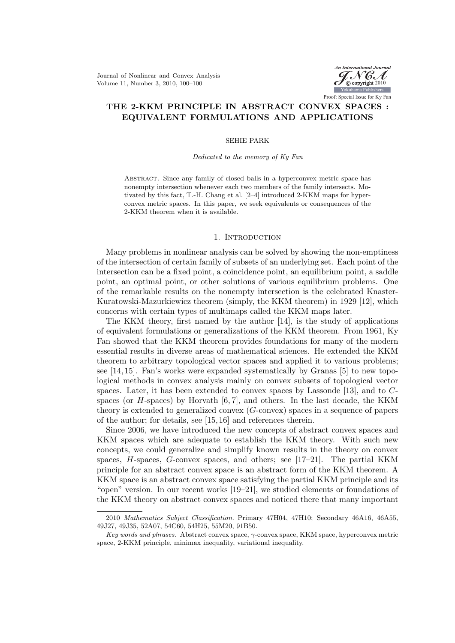Journal of Nonlinear and Convex Analysis Volume 11, Number 3, 2010, 100–100



# THE 2-KKM PRINCIPLE IN ABSTRACT CONVEX SPACES : EQUIVALENT FORMULATIONS AND APPLICATIONS

### SEHIE PARK

### Dedicated to the memory of Ky Fan

Abstract. Since any family of closed balls in a hyperconvex metric space has nonempty intersection whenever each two members of the family intersects. Motivated by this fact, T.-H. Chang et al. [2–4] introduced 2-KKM maps for hyperconvex metric spaces. In this paper, we seek equivalents or consequences of the 2-KKM theorem when it is available.

### 1. INTRODUCTION

Many problems in nonlinear analysis can be solved by showing the non-emptiness of the intersection of certain family of subsets of an underlying set. Each point of the intersection can be a fixed point, a coincidence point, an equilibrium point, a saddle point, an optimal point, or other solutions of various equilibrium problems. One of the remarkable results on the nonempty intersection is the celebrated Knaster-Kuratowski-Mazurkiewicz theorem (simply, the KKM theorem) in 1929 [12], which concerns with certain types of multimaps called the KKM maps later.

The KKM theory, first named by the author [14], is the study of applications of equivalent formulations or generalizations of the KKM theorem. From 1961, Ky Fan showed that the KKM theorem provides foundations for many of the modern essential results in diverse areas of mathematical sciences. He extended the KKM theorem to arbitrary topological vector spaces and applied it to various problems; see [14, 15]. Fan's works were expanded systematically by Granas [5] to new topological methods in convex analysis mainly on convex subsets of topological vector spaces. Later, it has been extended to convex spaces by Lassonde [13], and to Cspaces (or  $H$ -spaces) by Horvath  $[6, 7]$ , and others. In the last decade, the KKM theory is extended to generalized convex (G-convex) spaces in a sequence of papers of the author; for details, see [15, 16] and references therein.

Since 2006, we have introduced the new concepts of abstract convex spaces and KKM spaces which are adequate to establish the KKM theory. With such new concepts, we could generalize and simplify known results in the theory on convex spaces,  $H$ -spaces,  $G$ -convex spaces, and others; see [17–21]. The partial KKM principle for an abstract convex space is an abstract form of the KKM theorem. A KKM space is an abstract convex space satisfying the partial KKM principle and its "open" version. In our recent works [19–21], we studied elements or foundations of the KKM theory on abstract convex spaces and noticed there that many important

<sup>2010</sup> Mathematics Subject Classification. Primary 47H04, 47H10; Secondary 46A16, 46A55, 49J27, 49J35, 52A07, 54C60, 54H25, 55M20, 91B50.

Key words and phrases. Abstract convex space,  $\gamma$ -convex space, KKM space, hyperconvex metric space, 2-KKM principle, minimax inequality, variational inequality.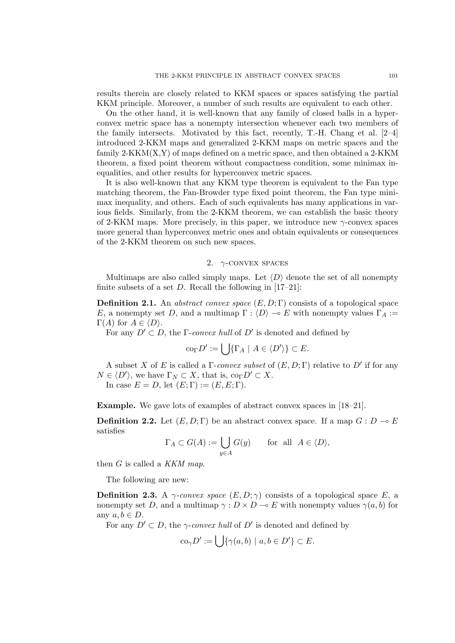results therein are closely related to KKM spaces or spaces satisfying the partial KKM principle. Moreover, a number of such results are equivalent to each other.

On the other hand, it is well-known that any family of closed balls in a hyperconvex metric space has a nonempty intersection whenever each two members of the family intersects. Motivated by this fact, recently,  $T.-H$ . Chang et al.  $[2-4]$ introduced 2-KKM maps and generalized 2-KKM maps on metric spaces and the family 2-KKM(X,Y) of maps defined on a metric space, and then obtained a 2-KKM theorem, a fixed point theorem without compactness condition, some minimax inequalities, and other results for hyperconvex metric spaces.

It is also well-known that any KKM type theorem is equivalent to the Fan type matching theorem, the Fan-Browder type fixed point theorem, the Fan type minimax inequality, and others. Each of such equivalents has many applications in various fields. Similarly, from the 2-KKM theorem, we can establish the basic theory of 2-KKM maps. More precisely, in this paper, we introduce new  $\gamma$ -convex spaces more general than hyperconvex metric ones and obtain equivalents or consequences of the 2-KKM theorem on such new spaces.

## 2.  $\gamma$ -CONVEX SPACES

Multimaps are also called simply maps. Let  $\langle D \rangle$  denote the set of all nonempty finite subsets of a set  $D$ . Recall the following in  $[17-21]$ :

**Definition 2.1.** An *abstract convex space*  $(E, D; \Gamma)$  consists of a topological space E, a nonempty set D, and a multimap  $\Gamma : \langle D \rangle \to E$  with nonempty values  $\Gamma_A :=$  $\Gamma(A)$  for  $A \in \langle D \rangle$ .

For any  $D' \subset D$ , the Γ-convex hull of D' is denoted and defined by

$$
\operatorname{co}_{\Gamma} D' := \bigcup \{ \Gamma_A \mid A \in \langle D' \rangle \} \subset E.
$$

A subset X of E is called a  $\Gamma$ -convex subset of  $(E, D; \Gamma)$  relative to  $D'$  if for any  $N \in \langle D' \rangle$ , we have  $\Gamma_N \subset X$ , that is,  $\text{co}_{\Gamma} D' \subset X$ .

In case  $E = D$ , let  $(E; \Gamma) := (E, E; \Gamma)$ .

Example. We gave lots of examples of abstract convex spaces in [18–21].

**Definition 2.2.** Let  $(E, D; \Gamma)$  be an abstract convex space. If a map  $G: D \to E$ satisfies

$$
\Gamma_A \subset G(A) := \bigcup_{y \in A} G(y) \quad \text{for all } A \in \langle D \rangle,
$$

then  $G$  is called a KKM map.

The following are new:

**Definition 2.3.** A  $\gamma$ -convex space  $(E, D; \gamma)$  consists of a topological space E, a nonempty set D, and a multimap  $\gamma : D \times D \to E$  with nonempty values  $\gamma(a, b)$  for any  $a, b \in D$ .

For any  $D' \subset D$ , the  $\gamma$ -convex hull of D' is denoted and defined by

$$
\operatorname{co}_{\gamma} D' := \bigcup \{ \gamma(a, b) \mid a, b \in D' \} \subset E.
$$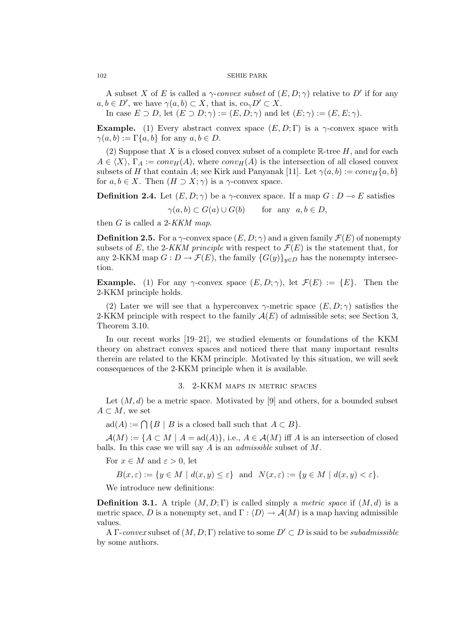A subset X of E is called a  $\gamma$ -convex subset of  $(E, D; \gamma)$  relative to D' if for any  $a, b \in D'$ , we have  $\gamma(a, b) \subset X$ , that is,  $\text{co}_{\gamma} D' \subset X$ .

In case  $E \supset D$ , let  $(E \supset D; \gamma) := (E, D; \gamma)$  and let  $(E; \gamma) := (E, E; \gamma)$ .

**Example.** (1) Every abstract convex space  $(E, D; \Gamma)$  is a  $\gamma$ -convex space with  $\gamma(a, b) := \Gamma\{a, b\}$  for any  $a, b \in D$ .

(2) Suppose that X is a closed convex subset of a complete  $\mathbb{R}$ -tree H, and for each  $A \in \langle X \rangle$ ,  $\Gamma_A := conv_H(A)$ , where  $conv_H(A)$  is the intersection of all closed convex subsets of H that contain A; see Kirk and Panyanak [11]. Let  $\gamma(a, b) := conv_H\{a, b\}$ for  $a, b \in X$ . Then  $(H \supset X; \gamma)$  is a  $\gamma$ -convex space.

**Definition 2.4.** Let  $(E, D; \gamma)$  be a  $\gamma$ -convex space. If a map  $G: D \to E$  satisfies

 $\gamma(a, b) \subset G(a) \cup G(b)$  for any  $a, b \in D$ ,

then  $G$  is called a 2-KKM map.

**Definition 2.5.** For a  $\gamma$ -convex space  $(E, D; \gamma)$  and a given family  $\mathcal{F}(E)$  of nonempty subsets of E, the 2-KKM principle with respect to  $\mathcal{F}(E)$  is the statement that, for any 2-KKM map  $G: D \to \mathcal{F}(E)$ , the family  $\{G(y)\}_{y \in D}$  has the nonempty intersection.

**Example.** (1) For any  $\gamma$ -convex space  $(E, D; \gamma)$ , let  $\mathcal{F}(E) := \{E\}$ . Then the 2-KKM principle holds.

(2) Later we will see that a hyperconvex  $\gamma$ -metric space  $(E, D; \gamma)$  satisfies the 2-KKM principle with respect to the family  $\mathcal{A}(E)$  of admissible sets; see Section 3, Theorem 3.10.

In our recent works [19–21], we studied elements or foundations of the KKM theory on abstract convex spaces and noticed there that many important results therein are related to the KKM principle. Motivated by this situation, we will seek consequences of the 2-KKM principle when it is available.

### 3. 2-KKM maps in metric spaces

Let  $(M, d)$  be a metric space. Motivated by [9] and others, for a bounded subset  $A \subset M$ , we set

 $ad(A) := \bigcap \{B \mid B \text{ is a closed ball such that } A \subset B\}.$ 

 $\mathcal{A}(M) := \{A \subset M \mid A = \text{ad}(A)\}, \text{ i.e., } A \in \mathcal{A}(M) \text{ iff } A \text{ is an intersection of closed }$ balls. In this case we will say A is an admissible subset of M.

For  $x \in M$  and  $\varepsilon > 0$ , let

$$
B(x,\varepsilon) := \{ y \in M \mid d(x,y) \le \varepsilon \} \text{ and } N(x,\varepsilon) := \{ y \in M \mid d(x,y) < \varepsilon \}.
$$

We introduce new definitions:

**Definition 3.1.** A triple  $(M, D; \Gamma)$  is called simply a *metric space* if  $(M, d)$  is a metric space, D is a nonempty set, and  $\Gamma : \langle D \rangle \to \mathcal{A}(M)$  is a map having admissible values.

A Γ-convex subset of  $(M, D; \Gamma)$  relative to some  $D' \subset D$  is said to be *subadmissible* by some authors.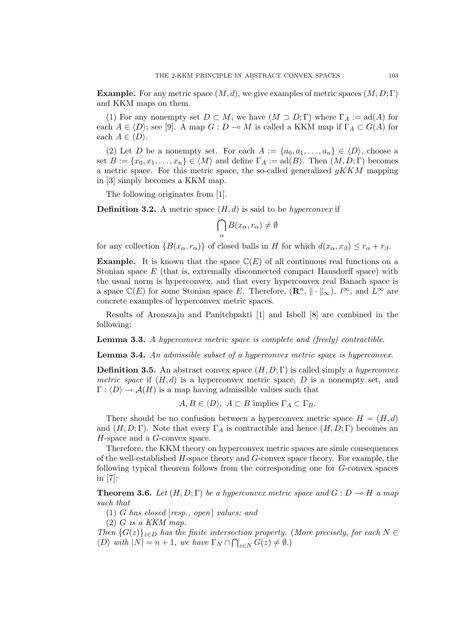**Example.** For any metric space  $(M, d)$ , we give examples of metric spaces  $(M, D; \Gamma)$ and KKM maps on them.

(1) For any nonempty set  $D \subset M$ , we have  $(M \supset D; \Gamma)$  where  $\Gamma_A := \text{ad}(A)$  for each  $A \in \langle D \rangle$ ; see [9]. A map  $G : D \to M$  is called a KKM map if  $\Gamma_A \subset G(A)$  for each  $A \in \langle D \rangle$ .

(2) Let D be a nonempty set. For each  $A := \{a_0, a_1, \ldots, a_n\} \in \langle D \rangle$ , choose a set  $B := \{x_0, x_1, \ldots, x_n\} \in \langle M \rangle$  and define  $\Gamma_A := \text{ad}(B)$ . Then  $(M, D; \Gamma)$  becomes a metric space. For this metric space, the so-called generalized  $qKKM$  mapping in [3] simply becomes a KKM map.

The following originates from [1].

**Definition 3.2.** A metric space  $(H, d)$  is said to be *hyperconvex* if

$$
\bigcap_{\alpha} B(x_{\alpha}, r_{\alpha}) \neq \emptyset
$$

for any collection  $\{B(x_{\alpha}, r_{\alpha})\}$  of closed balls in H for which  $d(x_{\alpha}, x_{\beta}) \leq r_{\alpha} + r_{\beta}$ .

**Example.** It is known that the space  $\mathbb{C}(E)$  of all continuous real functions on a Stonian space  $E$  (that is, extremally disconnected compact Hausdorff space) with the usual norm is hyperconvex, and that every hyperconvex real Banach space is a space  $\mathbb{C}(E)$  for some Stonian space E. Therefore,  $(\mathbb{R}^n, \| \cdot \|_{\infty})$ ,  $l^{\infty}$ , and  $L^{\infty}$  are concrete examples of hyperconvex metric spaces.

Results of Aronszajn and Panitchpakti [1] and Isbell [8] are combined in the following:

**Lemma 3.3.** A hyperconvex metric space is complete and (freely) contractible.

Lemma 3.4. An admissible subset of a hyperconvex metric space is hyperconvex.

**Definition 3.5.** An abstract convex space  $(H, D; \Gamma)$  is called simply a *hyperconvex* metric space if  $(H, d)$  is a hyperconvex metric space, D is a nonempty set, and  $\Gamma : \langle D \rangle \to \mathcal{A}(H)$  is a map having admissible values such that

 $A, B \in \langle D \rangle$ ,  $A \subset B$  implies  $\Gamma_A \subset \Gamma_B$ .

There should be no confusion between a hyperconvex metric space  $H = (H, d)$ and  $(H, D; \Gamma)$ . Note that every  $\Gamma_A$  is contractible and hence  $(H, D; \Gamma)$  becomes an H-space and a G-convex space.

Therefore, the KKM theory on hyperconvex metric spaces are simle consequences of the well-established  $H$ -space theory and  $G$ -convex space theory. For example, the following typical theorem follows from the corresponding one for G-convex spaces in [7]:

**Theorem 3.6.** Let  $(H, D; \Gamma)$  be a hyperconvex metric space and  $G: D \to H$  a map such that

(1) G has closed  $[resp., open]$  values; and

 $(2)$  G is a KKM map.

Then  $\{G(z)\}_{z\in D}$  has the finite intersection property. (More precisely, for each  $N \in \mathbb{Z}$ )  $\langle D \rangle$  with  $|N| = n + 1$ , we have  $\Gamma_N \cap \bigcap_{z \in N} G(z) \neq \emptyset$ .)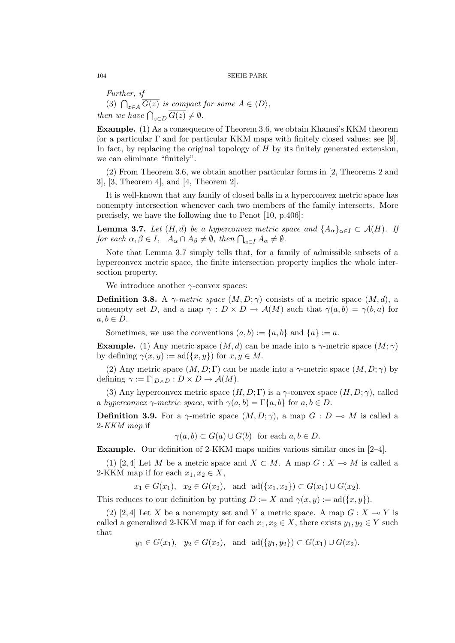Further, if<br>(3)  $\bigcap_{z \in A} \overline{G(z)}$  is compact for some  $A \in \langle D \rangle$ , then we have  $\bigcap_{z \in D} \overline{G(z)} \neq \emptyset$ .

Example. (1) As a consequence of Theorem 3.6, we obtain Khamsi's KKM theorem for a particular  $\Gamma$  and for particular KKM maps with finitely closed values; see [9]. In fact, by replacing the original topology of  $H$  by its finitely generated extension, we can eliminate "finitely".

(2) From Theorem 3.6, we obtain another particular forms in [2, Theorems 2 and 3], [3, Theorem 4], and [4, Theorem 2].

It is well-known that any family of closed balls in a hyperconvex metric space has nonempty intersection whenever each two members of the family intersects. More precisely, we have the following due to Penot [10, p.406]:

**Lemma 3.7.** Let  $(H,d)$  be a hyperconvex metric space and  $\{A_{\alpha}\}_{{\alpha}\in I} \subset \mathcal{A}(H)$ . If **Lemma 3.1.** Let  $(A, a)$  be a nyperconvex metric sport each  $\alpha, \beta \in I$ ,  $A_{\alpha} \cap A_{\beta} \neq \emptyset$ , then  $\bigcap_{\alpha \in I} A_{\alpha} \neq \emptyset$ .

Note that Lemma 3.7 simply tells that, for a family of admissible subsets of a hyperconvex metric space, the finite intersection property implies the whole intersection property.

We introduce another  $\gamma$ -convex spaces:

**Definition 3.8.** A  $\gamma$ -metric space  $(M, D; \gamma)$  consists of a metric space  $(M, d)$ , a nonempty set D, and a map  $\gamma : D \times D \to \mathcal{A}(M)$  such that  $\gamma(a, b) = \gamma(b, a)$  for  $a, b \in D$ .

Sometimes, we use the conventions  $(a, b) := \{a, b\}$  and  $\{a\} := a$ .

**Example.** (1) Any metric space  $(M, d)$  can be made into a  $\gamma$ -metric space  $(M, \gamma)$ by defining  $\gamma(x, y) := \text{ad}(\{x, y\})$  for  $x, y \in M$ .

(2) Any metric space  $(M, D; \Gamma)$  can be made into a  $\gamma$ -metric space  $(M, D; \gamma)$  by defining  $\gamma := \Gamma|_{D \times D} : D \times D \to \mathcal{A}(M)$ .

(3) Any hyperconvex metric space  $(H, D; \Gamma)$  is a  $\gamma$ -convex space  $(H, D; \gamma)$ , called a hyperconvex  $\gamma$ -metric space, with  $\gamma(a, b) = \Gamma\{a, b\}$  for  $a, b \in D$ .

**Definition 3.9.** For a  $\gamma$ -metric space  $(M, D; \gamma)$ , a map  $G : D \multimap M$  is called a 2-KKM map if

 $\gamma(a, b) \subset G(a) \cup G(b)$  for each  $a, b \in D$ .

Example. Our definition of 2-KKM maps unifies various similar ones in [2–4].

(1) [2, 4] Let M be a metric space and  $X \subset M$ . A map  $G : X \to M$  is called a 2-KKM map if for each  $x_1, x_2 \in X$ ,

 $x_1 \in G(x_1)$ ,  $x_2 \in G(x_2)$ , and  $ad(\{x_1, x_2\}) \subset G(x_1) \cup G(x_2)$ .

This reduces to our definition by putting  $D := X$  and  $\gamma(x, y) := \text{ad}(\{x, y\}).$ 

(2) [2, 4] Let X be a nonempty set and Y a metric space. A map  $G: X \to Y$  is called a generalized 2-KKM map if for each  $x_1, x_2 \in X$ , there exists  $y_1, y_2 \in Y$  such that

 $y_1 \in G(x_1)$ ,  $y_2 \in G(x_2)$ , and  $\text{ad}(\{y_1, y_2\}) \subset G(x_1) \cup G(x_2)$ .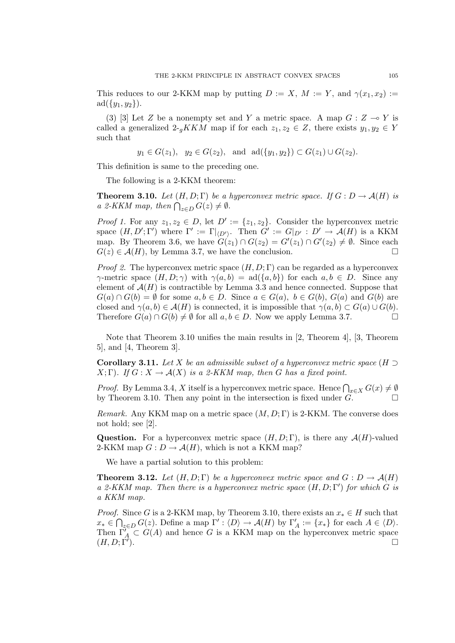This reduces to our 2-KKM map by putting  $D := X$ ,  $M := Y$ , and  $\gamma(x_1, x_2) :=$  $ad({y_1, y_2}).$ 

(3) [3] Let Z be a nonempty set and Y a metric space. A map  $G: Z \to Y$  is called a generalized  $2-gKKM$  map if for each  $z_1, z_2 \in Z$ , there exists  $y_1, y_2 \in Y$ such that

 $y_1 \in G(z_1)$ ,  $y_2 \in G(z_2)$ , and  $ad({y_1, y_2}) \subset G(z_1) \cup G(z_2)$ .

This definition is same to the preceding one.

The following is a 2-KKM theorem:

**Theorem 3.10.** Let  $(H, D; \Gamma)$  be a hyperconvex metric space. If  $G: D \to \mathcal{A}(H)$  is **Theorem 3.10.** Let  $(H, D; I)$  be a n<br>a 2-KKM map, then  $\bigcap_{z \in D} G(z) \neq \emptyset$ .

*Proof 1.* For any  $z_1, z_2 \in D$ , let  $D' := \{z_1, z_2\}$ . Consider the hyperconvex metric space  $(H, D'; \Gamma')$  where  $\Gamma' := \Gamma|_{\langle D' \rangle}$ . Then  $G' := G|_{D'} : D' \to \mathcal{A}(H)$  is a KKM map. By Theorem 3.6, we have  $G(z_1) \cap G(z_2) = G'(z_1) \cap G'(z_2) \neq \emptyset$ . Since each  $G(z) \in \mathcal{A}(H)$ , by Lemma 3.7, we have the conclusion.

*Proof 2.* The hyperconvex metric space  $(H, D; \Gamma)$  can be regarded as a hyperconvex  $\gamma$ -metric space  $(H, D; \gamma)$  with  $\gamma(a, b) = \text{ad}(\{a, b\})$  for each  $a, b \in D$ . Since any element of  $A(H)$  is contractible by Lemma 3.3 and hence connected. Suppose that  $G(a) \cap G(b) = \emptyset$  for some  $a, b \in D$ . Since  $a \in G(a)$ ,  $b \in G(b)$ ,  $G(a)$  and  $G(b)$  are closed and  $\gamma(a, b) \in \mathcal{A}(H)$  is connected, it is impossible that  $\gamma(a, b) \subset G(a) \cup G(b)$ . Therefore  $G(a) \cap G(b) \neq \emptyset$  for all  $a, b \in D$ . Now we apply Lemma 3.7.

Note that Theorem 3.10 unifies the main results in [2, Theorem 4], [3, Theorem 5], and [4, Theorem 3].

**Corollary 3.11.** Let X be an admissible subset of a hyperconvex metric space ( $H \supset$  $X(\Gamma)$ . If  $G: X \to \mathcal{A}(X)$  is a 2-KKM map, then G has a fixed point.

*Proof.* By Lemma 3.4, X itself is a hyperconvex metric space. Hence  $\bigcap_{x \in X} G(x) \neq \emptyset$ by Theorem 3.10. Then any point in the intersection is fixed under  $G$ .

Remark. Any KKM map on a metric space  $(M, D; \Gamma)$  is 2-KKM. The converse does not hold; see [2].

**Question.** For a hyperconvex metric space  $(H, D; \Gamma)$ , is there any  $\mathcal{A}(H)$ -valued 2-KKM map  $G: D \to \mathcal{A}(H)$ , which is not a KKM map?

We have a partial solution to this problem:

**Theorem 3.12.** Let  $(H, D; \Gamma)$  be a hyperconvex metric space and  $G: D \to \mathcal{A}(H)$ a 2-KKM map. Then there is a hyperconvex metric space  $(H, D; \Gamma')$  for which G is a KKM map.

*Proof.* Since G is a 2-KKM map, by Theorem 3.10, there exists an  $x_* \in H$  such that  $x_* \in \bigcap_{z \in D} G(z)$ . Define a map  $\Gamma' : \langle D \rangle \to \mathcal{A}(H)$  by  $\Gamma'_A := \{x_*\}$  for each  $A \in \langle D \rangle$ . Then  $\tilde{\Gamma}_A^{\prime} \subset G(A)$  and hence G is a KKM map on the hyperconvex metric space  $(H, D; \Gamma').$ ).  $\Box$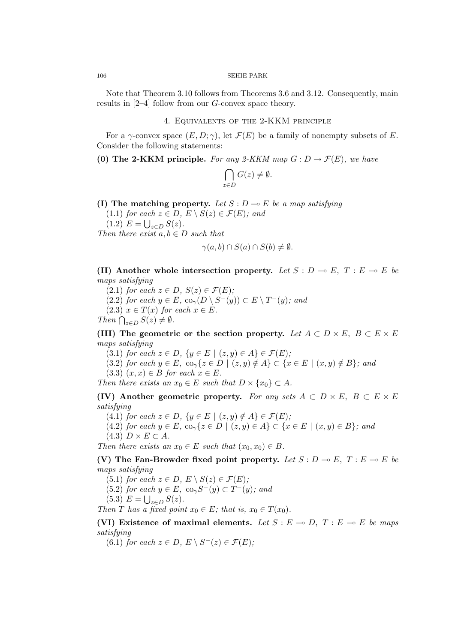Note that Theorem 3.10 follows from Theorems 3.6 and 3.12. Consequently, main results in  $[2-4]$  follow from our G-convex space theory.

## 4. Equivalents of the 2-KKM principle

For a  $\gamma$ -convex space  $(E, D; \gamma)$ , let  $\mathcal{F}(E)$  be a family of nonempty subsets of E. Consider the following statements:

(0) The 2-KKM principle. For any 2-KKM map  $G: D \to \mathcal{F}(E)$ , we have

$$
\bigcap_{z \in D} G(z) \neq \emptyset.
$$

(I) The matching property. Let  $S: D \to E$  be a map satisfying

 $(1.1)$  for each  $z \in D$ ,  $E \setminus S(z) \in \mathcal{F}(E)$ ; and (1.2)  $E = \bigcup_{z \in D} S(z)$ .

Then there exist  $a, b \in D$  such that

$$
\gamma(a,b)\cap S(a)\cap S(b)\neq\emptyset.
$$

(II) Another whole intersection property. Let  $S : D \multimap E$ ,  $T : E \multimap E$  be maps satisfying

(2.1) for each  $z \in D$ ,  $S(z) \in \mathcal{F}(E)$ ;

- (2.2) for each  $y \in E$ ,  $\operatorname{co}_{\gamma}(D \setminus S^-(y)) \subset E \setminus T^-(y)$ ; and
- $(2.3)$   $x \in T(x)$  for each  $x \in E$ .

(2.5)  $x \in I(x)$  for<br>Then  $\bigcap_{z \in D} S(z) \neq \emptyset$ .

(III) The geometric or the section property. Let  $A \subset D \times E$ ,  $B \subset E \times E$ maps satisfying

(3.1) for each  $z \in D$ ,  $\{y \in E \mid (z, y) \in A\} \in \mathcal{F}(E)$ ;

(3.2) for each  $y \in E$ ,  $\text{co}_{\gamma} \{z \in D \mid (z, y) \notin A\} \subset \{x \in E \mid (x, y) \notin B\}$ ; and

(3.3)  $(x, x) \in B$  for each  $x \in E$ .

Then there exists an  $x_0 \in E$  such that  $D \times \{x_0\} \subset A$ .

(IV) Another geometric property. For any sets  $A \subset D \times E$ ,  $B \subset E \times E$ satisfying

(4.1) for each  $z \in D$ ,  $\{y \in E \mid (z, y) \notin A\} \in \mathcal{F}(E)$ ;

(4.2) for each  $y \in E$ ,  $\text{co}_{\gamma} \{z \in D \mid (z, y) \in A\} \subset \{x \in E \mid (x, y) \in B\}$ ; and

$$
(4.3) D \times E \subset A.
$$

Then there exists an  $x_0 \in E$  such that  $(x_0, x_0) \in B$ .

(V) The Fan-Browder fixed point property. Let  $S: D \to E$ ,  $T: E \to E$  be maps satisfying

(5.1) for each  $z \in D$ ,  $E \setminus S(z) \in \mathcal{F}(E)$ ;

(5.2) for each  $y \in E$ ,  $\text{co}_\gamma S^-(y) \subset T^-(y)$ ; and

$$
(5.3) E = \bigcup_{z \in D} S(z).
$$

Then T has a fixed point  $x_0 \in E$ ; that is,  $x_0 \in T(x_0)$ .

(VI) Existence of maximal elements. Let  $S : E \to D$ ,  $T : E \to E$  be maps satisfying

(6.1) for each  $z \in D$ ,  $E \setminus S^{-}(z) \in \mathcal{F}(E)$ ;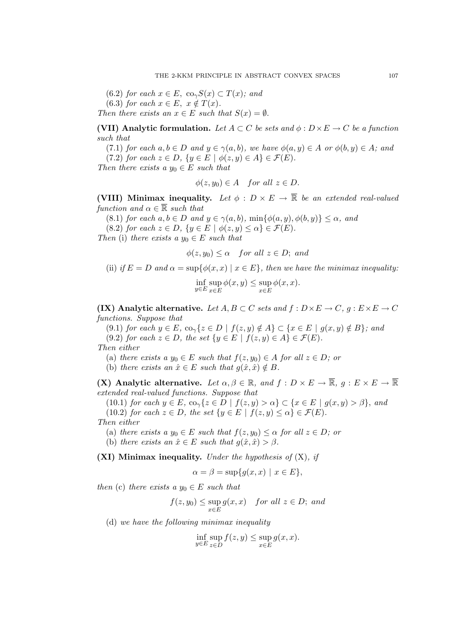(6.2) for each  $x \in E$ ,  $\text{co}_{\gamma}S(x) \subset T(x)$ ; and (6.3) for each  $x \in E$ ,  $x \notin T(x)$ . Then there exists an  $x \in E$  such that  $S(x) = \emptyset$ .

(VII) Analytic formulation. Let  $A \subset C$  be sets and  $\phi : D \times E \to C$  be a function such that

(7.1) for each  $a, b \in D$  and  $y \in \gamma(a, b)$ , we have  $\phi(a, y) \in A$  or  $\phi(b, y) \in A$ ; and (7.2) for each  $z \in D$ ,  $\{y \in E \mid \phi(z, y) \in A\} \in \mathcal{F}(E)$ .

Then there exists a  $y_0 \in E$  such that

$$
\phi(z, y_0) \in A \quad \text{for all } z \in D.
$$

(VIII) Minimax inequality. Let  $\phi : D \times E \to \overline{\mathbb{R}}$  be an extended real-valued function and  $\alpha \in \overline{\mathbb{R}}$  such that

(8.1) for each  $a, b \in D$  and  $y \in \gamma(a, b)$ ,  $\min{\{\phi(a, y), \phi(b, y)\}} \leq \alpha$ , and

(8.2) for each  $z \in D$ ,  $\{y \in E \mid \phi(z, y) \leq \alpha\} \in \mathcal{F}(E)$ .

Then (i) there exists a  $y_0 \in E$  such that

 $\phi(z, y_0) \leq \alpha$  for all  $z \in D$ ; and

(ii) if 
$$
E = D
$$
 and  $\alpha = \sup \{ \phi(x, x) \mid x \in E \}$ , then we have the minimax inequality:

$$
\inf_{y \in E} \sup_{x \in E} \phi(x, y) \le \sup_{x \in E} \phi(x, x).
$$

(IX) Analytic alternative. Let  $A, B \subset C$  sets and  $f : D \times E \to C$ ,  $g : E \times E \to C$ functions. Suppose that

(9.1) for each  $y \in E$ ,  $\text{co}_{\gamma} \{z \in D \mid f(z, y) \notin A\} \subset \{x \in E \mid g(x, y) \notin B\}$ ; and (9.2) for each  $z \in D$ , the set  $\{y \in E \mid f(z, y) \in A\} \in \mathcal{F}(E)$ .

Then either

(a) there exists a  $y_0 \in E$  such that  $f(z, y_0) \in A$  for all  $z \in D$ ; or

(b) there exists an  $\hat{x} \in E$  such that  $g(\hat{x}, \hat{x}) \notin B$ .

(X) Analytic alternative. Let  $\alpha, \beta \in \mathbb{R}$ , and  $f: D \times E \to \overline{\mathbb{R}}$ ,  $g: E \times E \to \overline{\mathbb{R}}$ extended real-valued functions. Suppose that

(10.1) for each  $y \in E$ ,  $\text{co}_{\gamma} \{z \in D \mid f(z, y) > \alpha\} \subset \{x \in E \mid g(x, y) > \beta\}$ , and (10.2) for each  $z \in D$ , the set  $\{y \in E \mid f(z, y) \leq \alpha\} \in \mathcal{F}(E)$ .

Then either

(a) there exists a  $y_0 \in E$  such that  $f(z, y_0) \leq \alpha$  for all  $z \in D$ ; or

(b) there exists an  $\hat{x} \in E$  such that  $g(\hat{x}, \hat{x}) > \beta$ .

(XI) Minimax inequality. Under the hypothesis of  $(X)$ , if

$$
\alpha = \beta = \sup\{g(x, x) \mid x \in E\},\
$$

then (c) there exists a  $y_0 \in E$  such that

$$
f(z,y_0) \le \sup_{x \in E} g(x,x) \quad \text{for all } z \in D; \text{ and}
$$

(d) we have the following minimax inequality

$$
\inf_{y \in E} \sup_{z \in D} f(z, y) \le \sup_{x \in E} g(x, x).
$$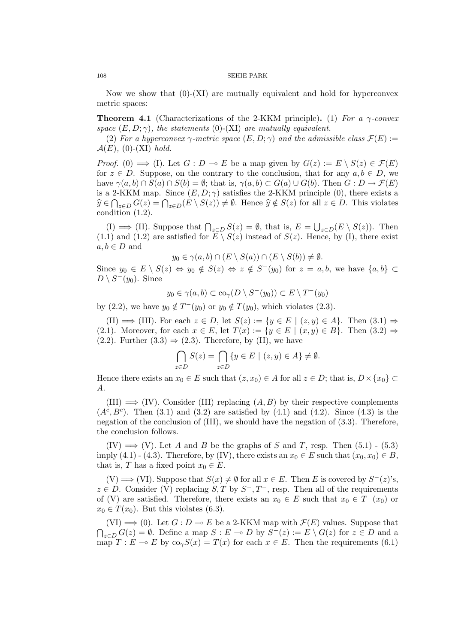Now we show that  $(0)-(XI)$  are mutually equivalent and hold for hyperconvex metric spaces:

**Theorem 4.1** (Characterizations of the 2-KKM principle). (1) For a  $\gamma$ -convex space  $(E, D; \gamma)$ , the statements (0)-(XI) are mutually equivalent.

(2) For a hyperconvex  $\gamma$ -metric space  $(E, D; \gamma)$  and the admissible class  $\mathcal{F}(E) :=$  $\mathcal{A}(E)$ , (0)-(XI) hold.

*Proof.* (0)  $\implies$  (I). Let  $G: D \multimap E$  be a map given by  $G(z) := E \setminus S(z) \in \mathcal{F}(E)$ for  $z \in D$ . Suppose, on the contrary to the conclusion, that for any  $a, b \in D$ , we have  $\gamma(a, b) \cap S(a) \cap S(b) = \emptyset$ ; that is,  $\gamma(a, b) \subset G(a) \cup G(b)$ . Then  $G : D \to \mathcal{F}(E)$ is a 2-KKM map. Since  $(E, D; \gamma)$  satisfies the 2-KKM principle (0), there exists a is a z-KKM map. Since  $(E, D; \gamma)$  satisfies the z-KKM principle (0), there exists a<br>  $\widehat{y} \in \bigcap_{z \in D} G(z) = \bigcap_{z \in D} (E \setminus S(z)) \neq \emptyset$ . Hence  $\widehat{y} \notin S(z)$  for all  $z \in D$ . This violates condition  $(1.2)$ .

(I)  $\implies$  (II). Suppose that  $\bigcap_{z \in D} S(z) = \emptyset$ , that is,  $E =$ S  $|z \in D(E \setminus S(z))$ . Then (1.1) and (1.2) are satisfied for  $E \setminus S(z)$  instead of  $S(z)$ . Hence, by (I), there exist  $a, b \in D$  and

$$
y_0 \in \gamma(a, b) \cap (E \setminus S(a)) \cap (E \setminus S(b)) \neq \emptyset.
$$

Since  $y_0 \in E \setminus S(z) \Leftrightarrow y_0 \notin S(z) \Leftrightarrow z \notin S^{-}(y_0)$  for  $z = a, b$ , we have  $\{a, b\} \subset$  $D \setminus S^-(y_0)$ . Since

$$
y_0 \in \gamma(a, b) \subset \text{co}_\gamma(D \setminus S^-(y_0)) \subset E \setminus T^-(y_0)
$$

by (2.2), we have  $y_0 \notin T^-(y_0)$  or  $y_0 \notin T(y_0)$ , which violates (2.3).

 $(H) \implies (III)$ . For each  $z \in D$ , let  $S(z) := \{y \in E \mid (z, y) \in A\}$ . Then  $(3.1) \implies$ (2.1). Moreover, for each  $x \in E$ , let  $T(x) := \{y \in E \mid (x, y) \in B\}$ . Then  $(3.2) \Rightarrow$  $(2.2)$ . Further  $(3.3) \Rightarrow (2.3)$ . Therefore, by (II), we have

$$
\bigcap_{z \in D} S(z) = \bigcap_{z \in D} \{ y \in E \mid (z, y) \in A \} \neq \emptyset.
$$

Hence there exists an  $x_0 \in E$  such that  $(z, x_0) \in A$  for all  $z \in D$ ; that is,  $D \times \{x_0\} \subset \{x_0\}$ A.

 $(III) \implies (IV)$ . Consider (III) replacing  $(A, B)$  by their respective complements  $(A^c, B^c)$ . Then (3.1) and (3.2) are satisfied by (4.1) and (4.2). Since (4.3) is the negation of the conclusion of (III), we should have the negation of (3.3). Therefore, the conclusion follows.

 $(IV) \implies (V)$ . Let A and B be the graphs of S and T, resp. Then  $(5.1)$  -  $(5.3)$ imply (4.1) - (4.3). Therefore, by (IV), there exists an  $x_0 \in E$  such that  $(x_0, x_0) \in B$ , that is, T has a fixed point  $x_0 \in E$ .

 $(V) \Longrightarrow$  (VI). Suppose that  $S(x) \neq \emptyset$  for all  $x \in E$ . Then E is covered by  $S^{-}(z)$ 's,  $z \in D$ . Consider (V) replacing  $S, T$  by  $S^-, T^-$ , resp. Then all of the requirements of (V) are satisfied. Therefore, there exists an  $x_0 \in E$  such that  $x_0 \in T^-(x_0)$  or  $x_0 \in T(x_0)$ . But this violates (6.3).

(VI)  $\Longrightarrow$  (0). Let  $G : D \multimap E$  be a 2-KKM map with  $\mathcal{F}(E)$  values. Suppose that  $\overline{a}$  $\sum_{z \in D} G(z) = \emptyset$ . Define a map  $S : E \multimap D$  by  $S^-(z) := E \setminus G(z)$  for  $z \in D$  and a map  $T : E \multimap E$  by  $\text{co}_{\gamma}S(x) = T(x)$  for each  $x \in E$ . Then the requirements (6.1)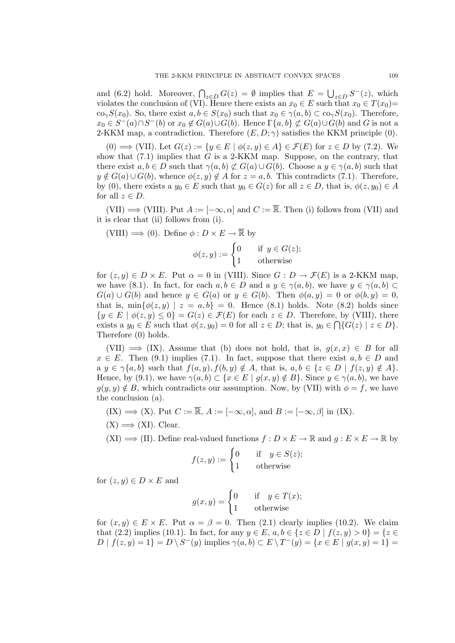and (6.2) hold. Moreover,  $\bigcap_{z \in D} G(z) = \emptyset$  implies that  $E =$ S  $_{z\in D} S^-(z)$ , which violates the conclusion of (VI). Hence there exists an  $x_0 \in E$  such that  $x_0 \in T(x_0)$ = co<sub> $\gamma$ </sub>S(x<sub>0</sub>). So, there exist  $a, b \in S(x_0)$  such that  $x_0 \in \gamma(a, b) \subset \text{co}_\gamma S(x_0)$ . Therefore,  $x_0 \in S^-(a) \cap S^-(b)$  or  $x_0 \notin G(a) \cup G(b)$ . Hence  $\Gamma\{a, b\} \not\subset G(a) \cup G(b)$  and G is not a 2-KKM map, a contradiction. Therefore  $(E, D; \gamma)$  satisfies the KKM principle (0).

(0)  $\implies$  (VII). Let  $G(z) := \{y \in E \mid \phi(z, y) \in A\} \in \mathcal{F}(E)$  for  $z \in D$  by (7.2). We show that  $(7.1)$  implies that G is a 2-KKM map. Suppose, on the contrary, that there exist  $a, b \in D$  such that  $\gamma(a, b) \not\subset G(a) \cup G(b)$ . Choose a  $y \in \gamma(a, b)$  such that  $y \notin G(a) \cup G(b)$ , whence  $\phi(z, y) \notin A$  for  $z = a, b$ . This contradicts (7.1). Therefore, by (0), there exists a  $y_0 \in E$  such that  $y_0 \in G(z)$  for all  $z \in D$ , that is,  $\phi(z, y_0) \in A$ for all  $z \in D$ .

(VII)  $\implies$  (VIII). Put  $A := [-\infty, \alpha]$  and  $C := \overline{\mathbb{R}}$ . Then (i) follows from (VII) and it is clear that (ii) follows from (i).

(VIII)  $\Longrightarrow$  (0). Define  $\phi: D \times E \to \overline{\mathbb{R}}$  by

 $\phi(z, y) := \begin{cases} 0 & \text{if } y \in G(z); \\ 0 & \text{if } y \in G(z); \end{cases}$ 1 otherwise

for  $(z, y) \in D \times E$ . Put  $\alpha = 0$  in (VIII). Since  $G : D \to \mathcal{F}(E)$  is a 2-KKM map, we have (8.1). In fact, for each  $a, b \in D$  and a  $y \in \gamma(a, b)$ , we have  $y \in \gamma(a, b) \subset$  $G(a) \cup G(b)$  and hence  $y \in G(a)$  or  $y \in G(b)$ . Then  $\phi(a, y) = 0$  or  $\phi(b, y) = 0$ , that is,  $\min{\lbrace \phi(z, y) \mid z = a, b \rbrace} = 0$ . Hence (8.1) holds. Note (8.2) holds since  ${y \in E \mid \phi(z, y) \leq 0} = G(z) \in \mathcal{F}(E)$  for each  $z \in D$ . Therefore, by (VIII), there exists a  $y_0 \in E$  such that  $\phi(z, y_0) = 0$  for all  $z \in D$ ; that is,  $y_0 \in \bigcap \{G(z) \mid z \in D\}$ . Therefore (0) holds.

(VII)  $\implies$  (IX). Assume that (b) does not hold, that is,  $g(x, x) \in B$  for all  $x \in E$ . Then (9.1) implies (7.1). In fact, suppose that there exist  $a, b \in D$  and a  $y \in \gamma\{a, b\}$  such that  $f(a, y), f(b, y) \notin A$ , that is,  $a, b \in \{z \in D \mid f(z, y) \notin A\}$ . Hence, by (9.1), we have  $\gamma(a, b) \subset \{x \in E \mid g(x, y) \notin B\}$ . Since  $y \in \gamma(a, b)$ , we have  $g(y, y) \notin B$ , which contradicts our assumption. Now, by (VII) with  $\phi = f$ , we have the conclusion (a).

 $(IX) \implies (X)$ . Put  $C := \overline{\mathbb{R}}, A := [-\infty, \alpha],$  and  $B := [-\infty, \beta]$  in  $(IX)$ .

 $(X) \Longrightarrow (XI)$ . Clear.

 $(XI) \Longrightarrow (II)$ . Define real-valued functions  $f: D \times E \to \mathbb{R}$  and  $g: E \times E \to \mathbb{R}$  by

$$
f(z, y) := \begin{cases} 0 & \text{if } y \in S(z); \\ 1 & \text{otherwise} \end{cases}
$$

for  $(z, y) \in D \times E$  and

$$
g(x,y) = \begin{cases} 0 & \text{if } y \in T(x); \\ 1 & \text{otherwise} \end{cases}
$$

for  $(x, y) \in E \times E$ . Put  $\alpha = \beta = 0$ . Then  $(2.1)$  clearly implies  $(10.2)$ . We claim that (2.2) implies (10.1). In fact, for any  $y \in E$ ,  $a, b \in \{z \in D \mid f(z, y) > 0\} = \{z \in E \}$  $D | f(z, y) = 1$  =  $D \setminus S^-(y)$  implies  $\gamma(a, b) \subset E \setminus T^-(y) = \{x \in E | g(x, y) = 1\}$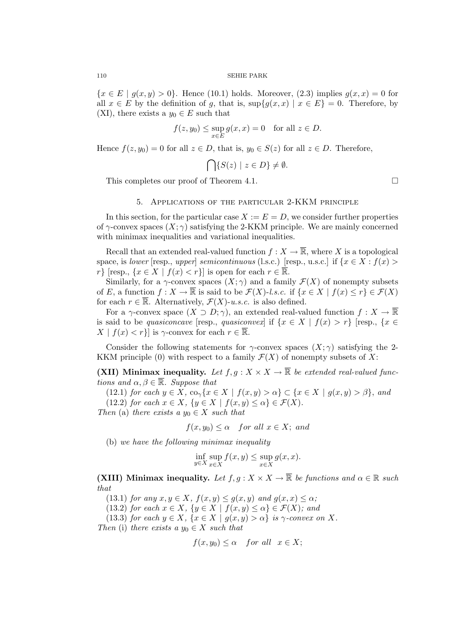${x \in E \mid q(x,y) > 0}$ . Hence (10.1) holds. Moreover, (2.3) implies  $q(x,x) = 0$  for all  $x \in E$  by the definition of g, that is,  $\sup\{g(x, x) \mid x \in E\} = 0$ . Therefore, by (XI), there exists a  $y_0 \in E$  such that

$$
f(z, y_0) \le \sup_{x \in E} g(x, x) = 0 \quad \text{for all } z \in D.
$$

Hence  $f(z, y_0) = 0$  for all  $z \in D$ , that is,  $y_0 \in S(z)$  for all  $z \in D$ . Therefore,

$$
\bigcap \{ S(z) \mid z \in D \} \neq \emptyset.
$$

This completes our proof of Theorem 4.1.  $\Box$ 

## 5. Applications of the particular 2-KKM principle

In this section, for the particular case  $X := E = D$ , we consider further properties of  $\gamma$ -convex spaces  $(X; \gamma)$  satisfying the 2-KKM principle. We are mainly concerned with minimax inequalities and variational inequalities.

Recall that an extended real-valued function  $f: X \to \overline{\mathbb{R}}$ , where X is a topological space, is lower [resp., upper] semicontinuous (l.s.c.) [resp., u.s.c.] if  $\{x \in X : f(x) >$  $r\}$  [resp.,  $\{x \in X \mid f(x) < r\}$ ] is open for each  $r \in \overline{\mathbb{R}}$ .

Similarly, for a  $\gamma$ -convex spaces  $(X; \gamma)$  and a family  $\mathcal{F}(X)$  of nonempty subsets of E, a function  $f: X \to \overline{\mathbb{R}}$  is said to be  $\mathcal{F}(X)$ -l.s.c. if  $\{x \in X \mid f(x) \le r\} \in \mathcal{F}(X)$ for each  $r \in \overline{\mathbb{R}}$ . Alternatively,  $\mathcal{F}(X)$ -u.s.c. is also defined.

For a  $\gamma$ -convex space  $(X \supset D; \gamma)$ , an extended real-valued function  $f: X \to \overline{\mathbb{R}}$ is said to be quasiconcave [resp., quasiconvex] if  $\{x \in X \mid f(x) > r\}$  [resp.,  $\{x \in$  $X \mid f(x) < r$ } is  $\gamma$ -convex for each  $r \in \overline{\mathbb{R}}$ .

Consider the following statements for  $\gamma$ -convex spaces  $(X; \gamma)$  satisfying the 2-KKM principle (0) with respect to a family  $\mathcal{F}(X)$  of nonempty subsets of X:

(XII) Minimax inequality. Let  $f, g: X \times X \to \overline{\mathbb{R}}$  be extended real-valued functions and  $\alpha, \beta \in \overline{\mathbb{R}}$ . Suppose that

(12.1) for each  $y \in X$ ,  $\text{co}_{\gamma} \{x \in X \mid f(x, y) > \alpha\} \subset \{x \in X \mid g(x, y) > \beta\}$ , and (12.2) for each  $x \in X$ ,  $\{y \in X \mid f(x,y) \leq \alpha\} \in \mathcal{F}(X)$ .

Then (a) there exists a  $y_0 \in X$  such that

$$
f(x, y_0) \le \alpha \quad \text{for all } x \in X; \text{ and}
$$

(b) we have the following minimax inequality

$$
\inf_{y \in X} \sup_{x \in X} f(x, y) \le \sup_{x \in X} g(x, x).
$$

(XIII) Minimax inequality. Let  $f, g: X \times X \to \overline{\mathbb{R}}$  be functions and  $\alpha \in \mathbb{R}$  such that

(13.1) for any  $x, y \in X$ ,  $f(x, y) \le g(x, y)$  and  $g(x, x) \le \alpha$ ;

(13.2) for each  $x \in X$ ,  $\{y \in X \mid f(x, y) \leq \alpha\} \in \mathcal{F}(X)$ ; and

(13.3) for each  $y \in X$ ,  $\{x \in X \mid g(x,y) > \alpha\}$  is  $\gamma$ -convex on X.

Then (i) there exists a  $y_0 \in X$  such that

$$
f(x, y_0) \le \alpha \quad \text{for all} \quad x \in X;
$$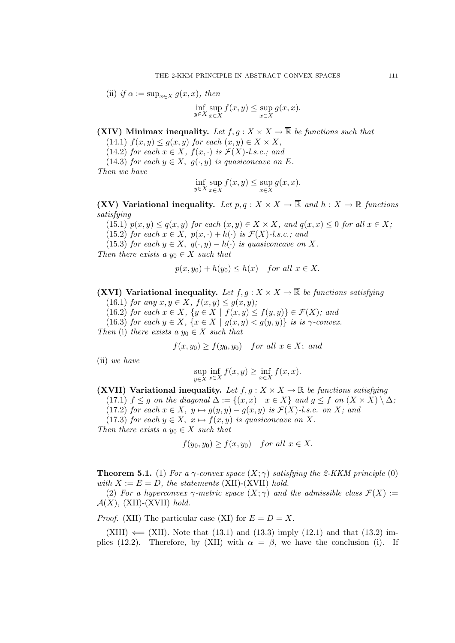(ii) if 
$$
\alpha := \sup_{x \in X} g(x, x)
$$
, then

$$
\inf_{y \in X} \sup_{x \in X} f(x, y) \le \sup_{x \in X} g(x, x).
$$

(XIV) Minimax inequality. Let  $f, g: X \times X \to \overline{\mathbb{R}}$  be functions such that

(14.1)  $f(x, y) \le g(x, y)$  for each  $(x, y) \in X \times X$ ,

(14.2) for each  $x \in X$ ,  $f(x, \cdot)$  is  $\mathcal{F}(X)$ -l.s.c.; and

(14.3) for each  $y \in X$ ,  $g(\cdot, y)$  is quasiconcave on E.

Then we have

$$
\inf_{y \in X} \sup_{x \in X} f(x, y) \le \sup_{x \in X} g(x, x).
$$

(XV) Variational inequality. Let  $p, q: X \times X \to \overline{\mathbb{R}}$  and  $h: X \to \mathbb{R}$  functions satisfying

(15.1)  $p(x, y) \leq q(x, y)$  for each  $(x, y) \in X \times X$ , and  $q(x, x) \leq 0$  for all  $x \in X$ ;

(15.2) for each  $x \in X$ ,  $p(x, \cdot) + h(\cdot)$  is  $\mathcal{F}(X)$ -l.s.c.; and

(15.3) for each  $y \in X$ ,  $q(\cdot, y) - h(\cdot)$  is quasiconcave on X. Then there exists a  $y_0 \in X$  such that

$$
p(x, y_0) + h(y_0) \le h(x) \quad \text{for all } x \in X.
$$

(XVI) Variational inequality. Let  $f, g: X \times X \to \overline{\mathbb{R}}$  be functions satisfying

(16.1) for any  $x, y \in X$ ,  $f(x, y) \le g(x, y)$ ;

(16.2) for each  $x \in X$ ,  $\{y \in X \mid f(x,y) \le f(y,y)\} \in \mathcal{F}(X)$ ; and

(16.3) for each  $y \in X$ ,  $\{x \in X \mid g(x,y) < g(y,y)\}$  is is  $\gamma$ -convex.

Then (i) there exists a  $y_0 \in X$  such that

 $f(x, y_0) \ge f(y_0, y_0)$  for all  $x \in X$ ; and

(ii) we have

$$
\sup_{y \in X} \inf_{x \in X} f(x, y) \ge \inf_{x \in X} f(x, x).
$$

(XVII) Variational inequality. Let  $f, g: X \times X \to \mathbb{R}$  be functions satisfying

(17.1)  $f \leq g$  on the diagonal  $\Delta := \{(x, x) \mid x \in X\}$  and  $g \leq f$  on  $(X \times X) \setminus \Delta$ ;

(17.2) for each  $x \in X$ ,  $y \mapsto g(y, y) - g(x, y)$  is  $\mathcal{F}(X)$ -l.s.c. on X; and

(17.3) for each  $y \in X$ ,  $x \mapsto f(x, y)$  is quasiconcave on X.

Then there exists a  $y_0 \in X$  such that

$$
f(y_0, y_0) \ge f(x, y_0) \quad \text{for all } x \in X.
$$

**Theorem 5.1.** (1) For a  $\gamma$ -convex space  $(X; \gamma)$  satisfying the 2-KKM principle (0) with  $X := E = D$ , the statements (XII)-(XVII) hold.

(2) For a hyperconvex  $\gamma$ -metric space  $(X; \gamma)$  and the admissible class  $\mathcal{F}(X) :=$  $\mathcal{A}(X)$ , (XII)-(XVII) hold.

*Proof.* (XII) The particular case (XI) for  $E = D = X$ .

 $(XIII) \leftarrow (XII)$ . Note that  $(13.1)$  and  $(13.3)$  imply  $(12.1)$  and that  $(13.2)$  implies (12.2). Therefore, by (XII) with  $\alpha = \beta$ , we have the conclusion (i). If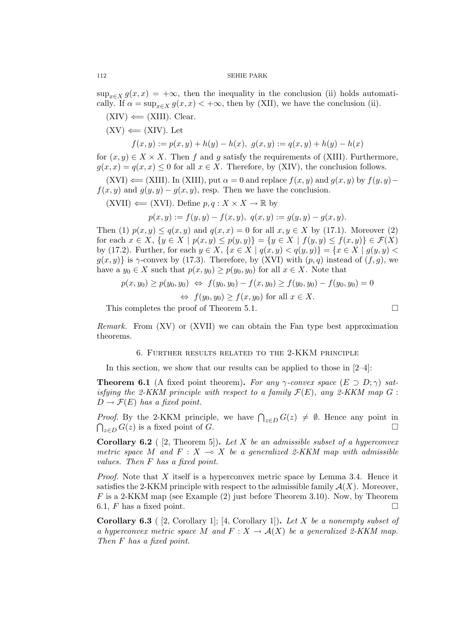$\sup_{x\in X} g(x,x) = +\infty$ , then the inequality in the conclusion (ii) holds automatically. If  $\alpha = \sup_{x \in X} g(x, x) < +\infty$ , then by (XII), we have the conclusion (ii).

 $(XIV) \leftarrow (XIII)$ . Clear.

 $(XV) \leftarrow (XIV)$ . Let

$$
f(x, y) := p(x, y) + h(y) - h(x), \ g(x, y) := q(x, y) + h(y) - h(x)
$$

for  $(x, y) \in X \times X$ . Then f and g satisfy the requirements of (XIII). Furthermore,  $g(x, x) = g(x, x) \leq 0$  for all  $x \in X$ . Therefore, by (XIV), the conclusion follows.

 $(XVI) \leftarrow (XIII)$ . In  $(XIII)$ , put  $\alpha = 0$  and replace  $f(x, y)$  and  $g(x, y)$  by  $f(y, y)$ −  $f(x, y)$  and  $g(y, y) - g(x, y)$ , resp. Then we have the conclusion.

(XVII) 
$$
\leftarrow
$$
 (XVI). Define  $p, q : X \times X \rightarrow \mathbb{R}$  by

$$
p(x, y) := f(y, y) - f(x, y), \ q(x, y) := g(y, y) - g(x, y).
$$

Then (1)  $p(x, y) \leq q(x, y)$  and  $q(x, x) = 0$  for all  $x, y \in X$  by (17.1). Moreover (2) for each  $x \in X$ ,  $\{y \in X \mid p(x, y) \leq p(y, y)\} = \{y \in X \mid f(y, y) \leq f(x, y)\} \in \mathcal{F}(X)$ by (17.2). Further, for each  $y \in X$ ,  $\{x \in X \mid q(x,y) < q(y,y)\} = \{x \in X \mid g(y,y) <$  $g(x, y)$  is  $\gamma$ -convex by (17.3). Therefore, by (XVI) with  $(p, q)$  instead of  $(f, g)$ , we have a  $y_0 \in X$  such that  $p(x, y_0) \geq p(y_0, y_0)$  for all  $x \in X$ . Note that

$$
p(x, y_0) \ge p(y_0, y_0) \Leftrightarrow f(y_0, y_0) - f(x, y_0) \ge f(y_0, y_0) - f(y_0, y_0) = 0
$$
  

$$
\Leftrightarrow f(y_0, y_0) \ge f(x, y_0) \text{ for all } x \in X.
$$

This completes the proof of Theorem 5.1.  $\Box$ 

Remark. From (XV) or (XVII) we can obtain the Fan type best approximation theorems.

### 6. Further results related to the 2-KKM principle

In this section, we show that our results can be applied to those in  $[2-4]$ :

**Theorem 6.1** (A fixed point theorem). For any  $\gamma$ -convex space  $(E \supset D; \gamma)$  satisfying the 2-KKM principle with respect to a family  $\mathcal{F}(E)$ , any 2-KKM map G:  $D \to \mathcal{F}(E)$  has a fixed point.

*Proof.* By the 2-KKM principle, we have  $\bigcap_{z \in D} G(z) \neq \emptyset$ . Hence any point in  $\bigcap_{z\in D} G(z)$  is a fixed point of G.

**Corollary 6.2** ( [2, Theorem 5]). Let X be an admissible subset of a hyperconvex metric space M and  $F : X \multimap X$  be a generalized 2-KKM map with admissible values. Then F has a fixed point.

Proof. Note that X itself is a hyperconvex metric space by Lemma 3.4. Hence it satisfies the 2-KKM principle with respect to the admissible family  $\mathcal{A}(X)$ . Moreover,  $F$  is a 2-KKM map (see Example  $(2)$  just before Theorem 3.10). Now, by Theorem 6.1,  $F$  has a fixed point.

**Corollary 6.3** ( [2, Corollary 1]; [4, Corollary 1]). Let X be a nonempty subset of a hyperconvex metric space M and  $F : X \to \mathcal{A}(X)$  be a generalized 2-KKM map. Then F has a fixed point.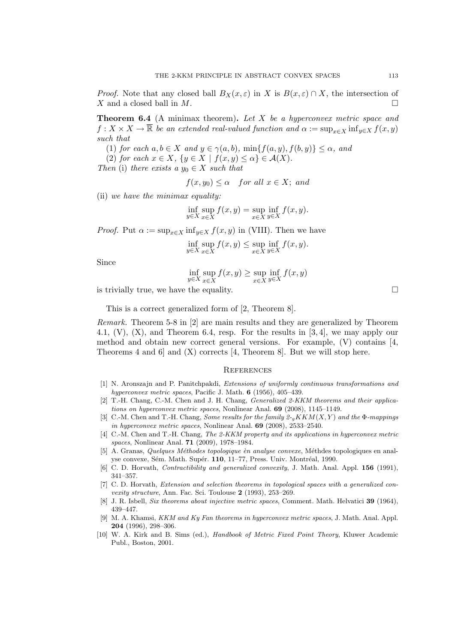*Proof.* Note that any closed ball  $B_X(x,\varepsilon)$  in X is  $B(x,\varepsilon) \cap X$ , the intersection of  $X$  and a closed ball in  $M$ .

**Theorem 6.4** (A minimax theorem). Let X be a hyperconvex metric space and  $f: X \times X \to \overline{\mathbb{R}}$  be an extended real-valued function and  $\alpha := \sup_{x \in X} \inf_{y \in X} f(x, y)$ such that

(1) for each  $a, b \in X$  and  $y \in \gamma(a, b)$ ,  $\min\{f(a, y), f(b, y)\} \leq \alpha$ , and

(2) for each  $x \in X$ ,  $\{y \in X \mid f(x, y) \leq \alpha\} \in \mathcal{A}(X)$ .

Then (i) there exists a  $y_0 \in X$  such that

 $f(x, y_0) \leq \alpha$  for all  $x \in X$ ; and

(ii) we have the minimax equality:

$$
\inf_{y \in X} \sup_{x \in X} f(x, y) = \sup_{x \in X} \inf_{y \in X} f(x, y).
$$

*Proof.* Put  $\alpha := \sup_{x \in X} \inf_{y \in X} f(x, y)$  in (VIII). Then we have

$$
\inf_{y \in X} \sup_{x \in X} f(x, y) \le \sup_{x \in X} \inf_{y \in X} f(x, y).
$$

Since

$$
\inf_{y \in X} \sup_{x \in X} f(x, y) \ge \sup_{x \in X} \inf_{y \in X} f(x, y)
$$

is trivially true, we have the equality.  $\Box$ 

This is a correct generalized form of [2, Theorem 8].

Remark. Theorem 5-8 in [2] are main results and they are generalized by Theorem 4.1,  $(V)$ ,  $(X)$ , and Theorem 6.4, resp. For the results in [3, 4], we may apply our method and obtain new correct general versions. For example,  $(V)$  contains  $[4, 4]$ Theorems 4 and 6 and  $(X)$  corrects [4, Theorem 8]. But we will stop here.

#### **REFERENCES**

- [1] N. Aronszajn and P. Panitchpakdi, Extensions of uniformly continuous transformations and hyperconvex metric spaces, Pacific J. Math. **6** (1956), 405–439.
- [2] T.-H. Chang, C.-M. Chen and J. H. Chang, Generalized 2-KKM theorems and their applications on hyperconvex metric spaces, Nonlinear Anal. 69 (2008), 1145–1149.
- [3] C.-M. Chen and T.-H. Chang, Some results for the family  $2\pi K K M(X, Y)$  and the  $\Phi$ -mappings in hyperconvex metric spaces, Nonlinear Anal. 69 (2008), 2533–2540.
- [4] C.-M. Chen and T.-H. Chang, The 2-KKM property and its applications in hyperconvex metric spaces, Nonlinear Anal. 71 (2009), 1978–1984.
- [5] A. Granas, Quelques Méthodes topologique èn analyse convexe, Méthodes topologiques en analyse convexe, Sém. Math. Supér. 110, 11–77, Press. Univ. Montréal, 1990.
- [6] C. D. Horvath, *Contractibility and generalized convexity*, J. Math. Anal. Appl. **156** (1991), 341–357.
- [7] C. D. Horvath, Extension and selection theorems in topological spaces with a generalized convexity structure, Ann. Fac. Sci. Toulouse 2 (1993), 253–269.
- [8] J. R. Isbell, Six theorems about injective metric spaces, Comment. Math. Helvatici 39 (1964), 439–447.
- [9] M. A. Khamsi, KKM and Ky Fan theorems in hyperconvex metric spaces, J. Math. Anal. Appl. 204 (1996), 298–306.
- [10] W. A. Kirk and B. Sims (ed.), Handbook of Metric Fixed Point Theory, Kluwer Academic Publ., Boston, 2001.